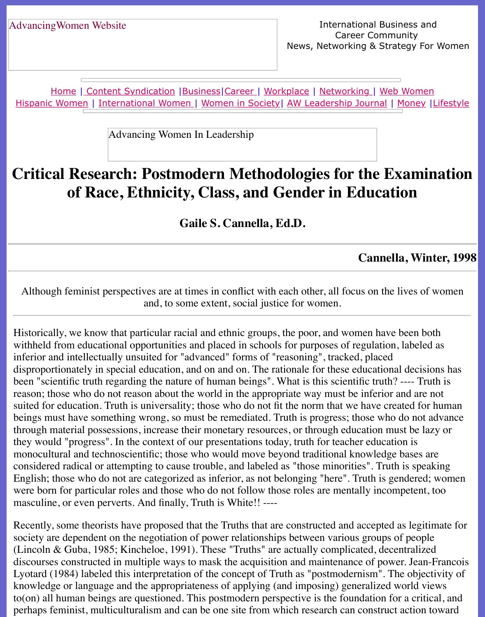Home | Content Syndication | Business | Career | Workplace | Networking | Web Wo Hispanic Women | International Women | Women in Society | AW Leadership Journal | Mon

Advancing Women In Leadership

# **Criti[cal R](http://www.advancingwomen.com/index.html)[esearch: Postm](file:///content.html)[odern](file:///business.html) [Met](file:///awcareer.html)[hodolog](file:///workplace.html)i[es for th](file:///networks.html)[e Examin](file:///web.html)e of**  $\boldsymbol{\epsilon}$ **[of R](file:///hispanic.html)[ace, Ethnicity](file:///international.html)[,](file:///Users/nrahman/Desktop/Flash2/womsoc/index.html) [Class, and G](file:///Users/nrahman/Desktop/Flash2/womsoc/index.html)[ender in Educa](file:///awl/awl.html)t[ion](file:///finance.html)**

**Gaile S. Cannella, Ed.D.**

**Cannella,** 

Although feminist perspectives are at times in conflict with each other, all focus on the live and, to some extent, social justice for women.

Historically, we know that particular racial and ethnic groups, the poor, and women have been withheld from educational opportunities and placed in schools for purposes of regulation, labeled as inferior and intellectually unsuited for "advanced" forms of "reasoning", tracked, placed disproportionately in special education, and on and on. The rationale for these educational de been "scientific truth regarding the nature of human beings". What is this scientific truth? --reason; those who do not reason about the world in the appropriate way must be inferior and suited for education. Truth is universality; those who do not fit the norm that we have created beings must have something wrong, so must be remediated. Truth is progress; those who do through material possessions, increase their monetary resources, or through education must be laterated as a la they would "progress". In the context of our presentations today, truth for teacher education is monocultural and technoscientific; those who would move beyond traditional knowledge bases considered radical or attempting to cause trouble, and labeled as "those minorities". Truth is English; those who do not are categorized as inferior, as not belonging "here". Truth is gendered; women is gendered; women in the local case of the control. The control of the sender of the control. The control of the sen were born for particular roles and those who do not follow those roles are mentally incompetent, where  $\theta$ masculine, or even perverts. And finally, Truth is White!! ----

Recently, some theorists have proposed that the Truths that are constructed and accepted as l society are dependent on the negotiation of power relationships between various groups of per (Lincoln & Guba, 1985; Kincheloe, 1991). These "Truths" are actually complicated, decentral discourses constructed in multiple ways to mask the acquisition and maintenance of power. J Lyotard (1984) labeled this interpretation of the concept of Truth as "postmodernism". The o knowledge or language and the appropriateness of applying (and imposing) generalized worl  $to (on)$  all human beings are questioned. This postmodern perspective is the foundation for a perhaps feminist, multiculturalism and can be one site from which research can construct act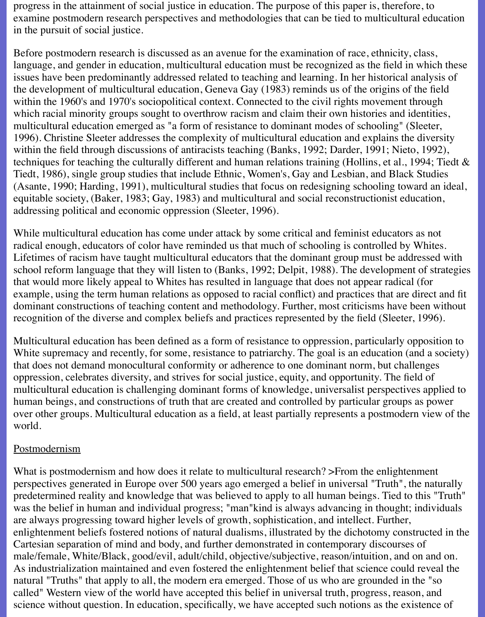progress in the attainment of social justice in education. The purpose of this paper is, therefore, to examine postmodern research perspectives and methodologies that can be tied to multicultural education in the pursuit of social justice.

Before postmodern research is discussed as an avenue for the examination of race, ethnicity, class, language, and gender in education, multicultural education must be recognized as the field in which these issues have been predominantly addressed related to teaching and learning. In her historical analysis of the development of multicultural education, Geneva Gay (1983) reminds us of the origins of the field within the 1960's and 1970's sociopolitical context. Connected to the civil rights movement through which racial minority groups sought to overthrow racism and claim their own histories and identities, multicultural education emerged as "a form of resistance to dominant modes of schooling" (Sleeter, 1996). Christine Sleeter addresses the complexity of multicultural education and explains the diversity within the field through discussions of antiracists teaching (Banks, 1992; Darder, 1991; Nieto, 1992), techniques for teaching the culturally different and human relations training (Hollins, et al., 1994; Tiedt & Tiedt, 1986), single group studies that include Ethnic, Women's, Gay and Lesbian, and Black Studies (Asante, 1990; Harding, 1991), multicultural studies that focus on redesigning schooling toward an ideal, equitable society, (Baker, 1983; Gay, 1983) and multicultural and social reconstructionist education, addressing political and economic oppression (Sleeter, 1996).

While multicultural education has come under attack by some critical and feminist educators as not radical enough, educators of color have reminded us that much of schooling is controlled by Whites. Lifetimes of racism have taught multicultural educators that the dominant group must be addressed with school reform language that they will listen to (Banks, 1992; Delpit, 1988). The development of strategies that would more likely appeal to Whites has resulted in language that does not appear radical (for example, using the term human relations as opposed to racial conflict) and practices that are direct and fit dominant constructions of teaching content and methodology. Further, most criticisms have been without recognition of the diverse and complex beliefs and practices represented by the field (Sleeter, 1996).

Multicultural education has been defined as a form of resistance to oppression, particularly opposition to White supremacy and recently, for some, resistance to patriarchy. The goal is an education (and a society) that does not demand monocultural conformity or adherence to one dominant norm, but challenges oppression, celebrates diversity, and strives for social justice, equity, and opportunity. The field of multicultural education is challenging dominant forms of knowledge, universalist perspectives applied to human beings, and constructions of truth that are created and controlled by particular groups as power over other groups. Multicultural education as a field, at least partially represents a postmodern view of the world.

#### Postmodernism

What is postmodernism and how does it relate to multicultural research? > From the enlightenment perspectives generated in Europe over 500 years ago emerged a belief in universal "Truth", the naturally predetermined reality and knowledge that was believed to apply to all human beings. Tied to this "Truth" was the belief in human and individual progress; "man"kind is always advancing in thought; individuals are always progressing toward higher levels of growth, sophistication, and intellect. Further, enlightenment beliefs fostered notions of natural dualisms, illustrated by the dichotomy constructed in the Cartesian separation of mind and body, and further demonstrated in contemporary discourses of male/female, White/Black, good/evil, adult/child, objective/subjective, reason/intuition, and on and on. As industrialization maintained and even fostered the enlightenment belief that science could reveal the natural "Truths" that apply to all, the modern era emerged. Those of us who are grounded in the "so called" Western view of the world have accepted this belief in universal truth, progress, reason, and science without question. In education, specifically, we have accepted such notions as the existence of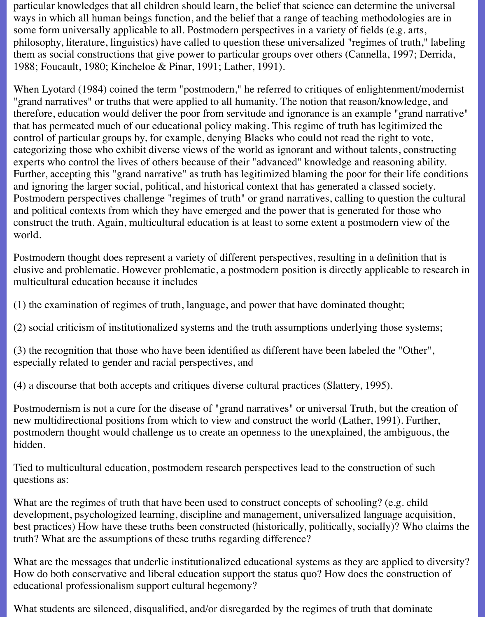particular knowledges that all children should learn, the belief that science can determine the universal ways in which all human beings function, and the belief that a range of teaching methodologies are in some form universally applicable to all. Postmodern perspectives in a variety of fields (e.g. arts, philosophy, literature, linguistics) have called to question these universalized "regimes of truth," labeling them as social constructions that give power to particular groups over others (Cannella, 1997; Derrida, 1988; Foucault, 1980; Kincheloe & Pinar, 1991; Lather, 1991).

When Lyotard (1984) coined the term "postmodern," he referred to critiques of enlightenment/modernist "grand narratives" or truths that were applied to all humanity. The notion that reason/knowledge, and therefore, education would deliver the poor from servitude and ignorance is an example "grand narrative" that has permeated much of our educational policy making. This regime of truth has legitimized the control of particular groups by, for example, denying Blacks who could not read the right to vote, categorizing those who exhibit diverse views of the world as ignorant and without talents, constructing experts who control the lives of others because of their "advanced" knowledge and reasoning ability. Further, accepting this "grand narrative" as truth has legitimized blaming the poor for their life conditions and ignoring the larger social, political, and historical context that has generated a classed society. Postmodern perspectives challenge "regimes of truth" or grand narratives, calling to question the cultural and political contexts from which they have emerged and the power that is generated for those who construct the truth. Again, multicultural education is at least to some extent a postmodern view of the world.

Postmodern thought does represent a variety of different perspectives, resulting in a definition that is elusive and problematic. However problematic, a postmodern position is directly applicable to research in multicultural education because it includes

(1) the examination of regimes of truth, language, and power that have dominated thought;

(2) social criticism of institutionalized systems and the truth assumptions underlying those systems;

(3) the recognition that those who have been identified as different have been labeled the "Other", especially related to gender and racial perspectives, and

(4) a discourse that both accepts and critiques diverse cultural practices (Slattery, 1995).

Postmodernism is not a cure for the disease of "grand narratives" or universal Truth, but the creation of new multidirectional positions from which to view and construct the world (Lather, 1991). Further, postmodern thought would challenge us to create an openness to the unexplained, the ambiguous, the hidden.

Tied to multicultural education, postmodern research perspectives lead to the construction of such questions as:

What are the regimes of truth that have been used to construct concepts of schooling? (e.g. child development, psychologized learning, discipline and management, universalized language acquisition, best practices) How have these truths been constructed (historically, politically, socially)? Who claims the truth? What are the assumptions of these truths regarding difference?

What are the messages that underlie institutionalized educational systems as they are applied to diversity? How do both conservative and liberal education support the status quo? How does the construction of educational professionalism support cultural hegemony?

What students are silenced, disqualified, and/or disregarded by the regimes of truth that dominate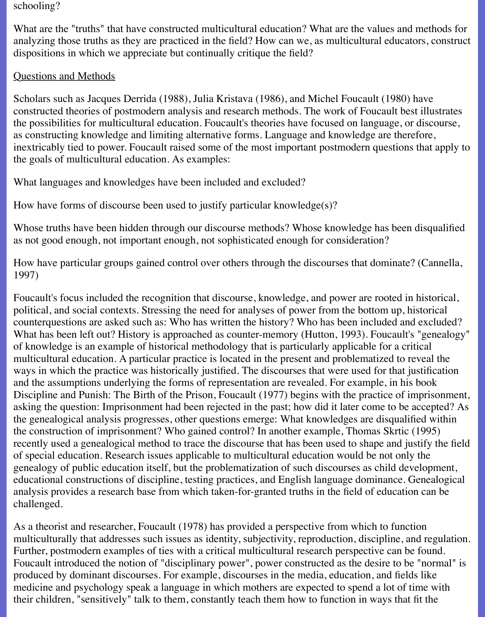#### schooling?

What are the "truths" that have constructed multicultural education? What are the values and methods for analyzing those truths as they are practiced in the field? How can we, as multicultural educators, construct dispositions in which we appreciate but continually critique the field?

## Questions and Methods

Scholars such as Jacques Derrida (1988), Julia Kristava (1986), and Michel Foucault (1980) have constructed theories of postmodern analysis and research methods. The work of Foucault best illustrates the possibilities for multicultural education. Foucault's theories have focused on language, or discourse, as constructing knowledge and limiting alternative forms. Language and knowledge are therefore, inextricably tied to power. Foucault raised some of the most important postmodern questions that apply to the goals of multicultural education. As examples:

What languages and knowledges have been included and excluded?

How have forms of discourse been used to justify particular knowledge(s)?

Whose truths have been hidden through our discourse methods? Whose knowledge has been disqualified as not good enough, not important enough, not sophisticated enough for consideration?

How have particular groups gained control over others through the discourses that dominate? (Cannella, 1997)

Foucault's focus included the recognition that discourse, knowledge, and power are rooted in historical, political, and social contexts. Stressing the need for analyses of power from the bottom up, historical counterquestions are asked such as: Who has written the history? Who has been included and excluded? What has been left out? History is approached as counter-memory (Hutton, 1993). Foucault's "genealogy" of knowledge is an example of historical methodology that is particularly applicable for a critical multicultural education. A particular practice is located in the present and problematized to reveal the ways in which the practice was historically justified. The discourses that were used for that justification and the assumptions underlying the forms of representation are revealed. For example, in his book Discipline and Punish: The Birth of the Prison, Foucault (1977) begins with the practice of imprisonment, asking the question: Imprisonment had been rejected in the past; how did it later come to be accepted? As the genealogical analysis progresses, other questions emerge: What knowledges are disqualified within the construction of imprisonment? Who gained control? In another example, Thomas Skrtic (1995) recently used a genealogical method to trace the discourse that has been used to shape and justify the field of special education. Research issues applicable to multicultural education would be not only the genealogy of public education itself, but the problematization of such discourses as child development, educational constructions of discipline, testing practices, and English language dominance. Genealogical analysis provides a research base from which taken-for-granted truths in the field of education can be challenged.

As a theorist and researcher, Foucault (1978) has provided a perspective from which to function multiculturally that addresses such issues as identity, subjectivity, reproduction, discipline, and regulation. Further, postmodern examples of ties with a critical multicultural research perspective can be found. Foucault introduced the notion of "disciplinary power", power constructed as the desire to be "normal" is produced by dominant discourses. For example, discourses in the media, education, and fields like medicine and psychology speak a language in which mothers are expected to spend a lot of time with their children, "sensitively" talk to them, constantly teach them how to function in ways that fit the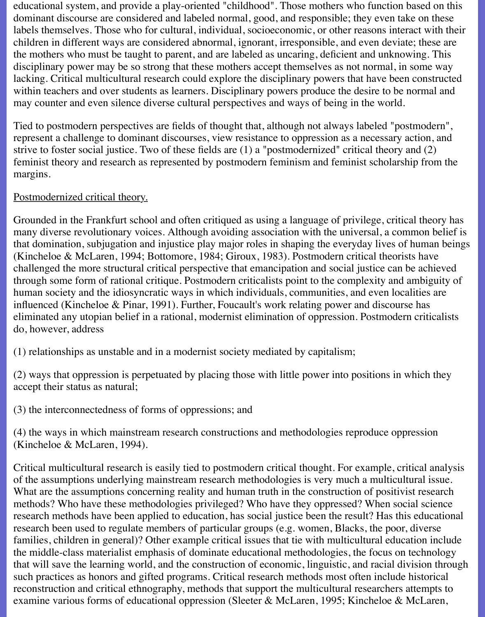educational system, and provide a play-oriented "childhood". Those mothers who function based on this dominant discourse are considered and labeled normal, good, and responsible; they even take on these labels themselves. Those who for cultural, individual, socioeconomic, or other reasons interact with their children in different ways are considered abnormal, ignorant, irresponsible, and even deviate; these are the mothers who must be taught to parent, and are labeled as uncaring, deficient and unknowing. This disciplinary power may be so strong that these mothers accept themselves as not normal, in some way lacking. Critical multicultural research could explore the disciplinary powers that have been constructed within teachers and over students as learners. Disciplinary powers produce the desire to be normal and may counter and even silence diverse cultural perspectives and ways of being in the world.

Tied to postmodern perspectives are fields of thought that, although not always labeled "postmodern", represent a challenge to dominant discourses, view resistance to oppression as a necessary action, and strive to foster social justice. Two of these fields are (1) a "postmodernized" critical theory and (2) feminist theory and research as represented by postmodern feminism and feminist scholarship from the margins.

## Postmodernized critical theory.

Grounded in the Frankfurt school and often critiqued as using a language of privilege, critical theory has many diverse revolutionary voices. Although avoiding association with the universal, a common belief is that domination, subjugation and injustice play major roles in shaping the everyday lives of human beings (Kincheloe & McLaren, 1994; Bottomore, 1984; Giroux, 1983). Postmodern critical theorists have challenged the more structural critical perspective that emancipation and social justice can be achieved through some form of rational critique. Postmodern criticalists point to the complexity and ambiguity of human society and the idiosyncratic ways in which individuals, communities, and even localities are influenced (Kincheloe & Pinar, 1991). Further, Foucault's work relating power and discourse has eliminated any utopian belief in a rational, modernist elimination of oppression. Postmodern criticalists do, however, address

(1) relationships as unstable and in a modernist society mediated by capitalism;

(2) ways that oppression is perpetuated by placing those with little power into positions in which they accept their status as natural;

(3) the interconnectedness of forms of oppressions; and

(4) the ways in which mainstream research constructions and methodologies reproduce oppression (Kincheloe & McLaren, 1994).

Critical multicultural research is easily tied to postmodern critical thought. For example, critical analysis of the assumptions underlying mainstream research methodologies is very much a multicultural issue. What are the assumptions concerning reality and human truth in the construction of positivist research methods? Who have these methodologies privileged? Who have they oppressed? When social science research methods have been applied to education, has social justice been the result? Has this educational research been used to regulate members of particular groups (e.g. women, Blacks, the poor, diverse families, children in general)? Other example critical issues that tie with multicultural education include the middle-class materialist emphasis of dominate educational methodologies, the focus on technology that will save the learning world, and the construction of economic, linguistic, and racial division through such practices as honors and gifted programs. Critical research methods most often include historical reconstruction and critical ethnography, methods that support the multicultural researchers attempts to examine various forms of educational oppression (Sleeter & McLaren, 1995; Kincheloe & McLaren,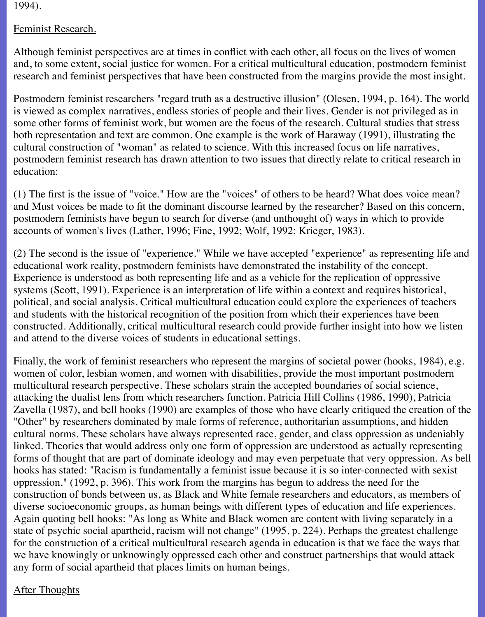1994).

## Feminist Research.

Although feminist perspectives are at times in conflict with each other, all focus on the lives of women and, to some extent, social justice for women. For a critical multicultural education, postmodern feminist research and feminist perspectives that have been constructed from the margins provide the most insight.

Postmodern feminist researchers "regard truth as a destructive illusion" (Olesen, 1994, p. 164). The world is viewed as complex narratives, endless stories of people and their lives. Gender is not privileged as in some other forms of feminist work, but women are the focus of the research. Cultural studies that stress both representation and text are common. One example is the work of Haraway (1991), illustrating the cultural construction of "woman" as related to science. With this increased focus on life narratives, postmodern feminist research has drawn attention to two issues that directly relate to critical research in education:

(1) The first is the issue of "voice." How are the "voices" of others to be heard? What does voice mean? and Must voices be made to fit the dominant discourse learned by the researcher? Based on this concern, postmodern feminists have begun to search for diverse (and unthought of) ways in which to provide accounts of women's lives (Lather, 1996; Fine, 1992; Wolf, 1992; Krieger, 1983).

(2) The second is the issue of "experience." While we have accepted "experience" as representing life and educational work reality, postmodern feminists have demonstrated the instability of the concept. Experience is understood as both representing life and as a vehicle for the replication of oppressive systems (Scott, 1991). Experience is an interpretation of life within a context and requires historical, political, and social analysis. Critical multicultural education could explore the experiences of teachers and students with the historical recognition of the position from which their experiences have been constructed. Additionally, critical multicultural research could provide further insight into how we listen and attend to the diverse voices of students in educational settings.

Finally, the work of feminist researchers who represent the margins of societal power (hooks, 1984), e.g. women of color, lesbian women, and women with disabilities, provide the most important postmodern multicultural research perspective. These scholars strain the accepted boundaries of social science, attacking the dualist lens from which researchers function. Patricia Hill Collins (1986, 1990), Patricia Zavella (1987), and bell hooks (1990) are examples of those who have clearly critiqued the creation of the "Other" by researchers dominated by male forms of reference, authoritarian assumptions, and hidden cultural norms. These scholars have always represented race, gender, and class oppression as undeniably linked. Theories that would address only one form of oppression are understood as actually representing forms of thought that are part of dominate ideology and may even perpetuate that very oppression. As bell hooks has stated: "Racism is fundamentally a feminist issue because it is so inter-connected with sexist oppression." (1992, p. 396). This work from the margins has begun to address the need for the construction of bonds between us, as Black and White female researchers and educators, as members of diverse socioeconomic groups, as human beings with different types of education and life experiences. Again quoting bell hooks: "As long as White and Black women are content with living separately in a state of psychic social apartheid, racism will not change" (1995, p. 224). Perhaps the greatest challenge for the construction of a critical multicultural research agenda in education is that we face the ways that we have knowingly or unknowingly oppressed each other and construct partnerships that would attack any form of social apartheid that places limits on human beings.

# After Thoughts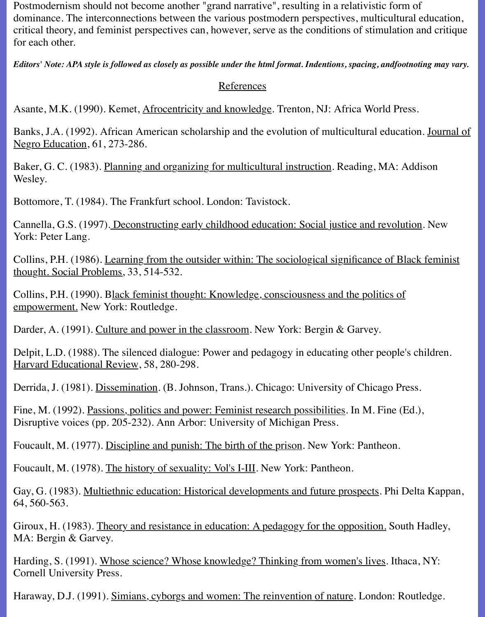Postmodernism should not become another "grand narrative", resulting in a relativistic form of dominance. The interconnections between the various postmodern perspectives, multicultural education, critical theory, and feminist perspectives can, however, serve as the conditions of stimulation and critique for each other.

*Editors' Note: APA style is followed as closely as possible under the html format. Indentions, spacing, andfootnoting may vary.*

#### **References**

Asante, M.K. (1990). Kemet, Afrocentricity and knowledge. Trenton, NJ: Africa World Press.

Banks, J.A. (1992). African American scholarship and the evolution of multicultural education. Journal of Negro Education, 61, 273-286.

Baker, G. C. (1983). Planning and organizing for multicultural instruction. Reading, MA: Addison Wesley.

Bottomore, T. (1984). The Frankfurt school. London: Tavistock.

Cannella, G.S. (1997). Deconstructing early childhood education: Social justice and revolution. New York: Peter Lang.

Collins, P.H. (1986). Learning from the outsider within: The sociological significance of Black feminist thought. Social Problems, 33, 514-532.

Collins, P.H. (1990). Black feminist thought: Knowledge, consciousness and the politics of empowerment. New York: Routledge.

Darder, A. (1991). Culture and power in the classroom. New York: Bergin & Garvey.

Delpit, L.D. (1988). The silenced dialogue: Power and pedagogy in educating other people's children. Harvard Educational Review, 58, 280-298.

Derrida, J. (1981). Dissemination. (B. Johnson, Trans.). Chicago: University of Chicago Press.

Fine, M. (1992). Passions, politics and power: Feminist research possibilities. In M. Fine (Ed.), Disruptive voices (pp. 205-232). Ann Arbor: University of Michigan Press.

Foucault, M. (1977). Discipline and punish: The birth of the prison. New York: Pantheon.

Foucault, M. (1978). The history of sexuality: Vol's I-III. New York: Pantheon.

Gay, G. (1983). Multiethnic education: Historical developments and future prospects. Phi Delta Kappan, 64, 560-563.

Giroux, H. (1983). Theory and resistance in education: A pedagogy for the opposition. South Hadley, MA: Bergin & Garvey.

Harding, S. (1991). Whose science? Whose knowledge? Thinking from women's lives. Ithaca, NY: Cornell University Press.

Haraway, D.J. (1991). Simians, cyborgs and women: The reinvention of nature. London: Routledge.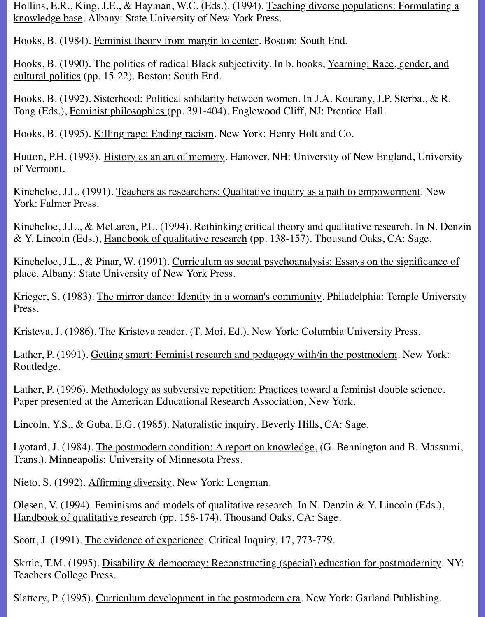Hollins, E.R., King, J.E., & Hayman, W.C. (Eds.). (1994). Teaching diverse populations: Formulating a knowledge base. Albany: State University of New York Press.

Hooks, B. (1984). Feminist theory from margin to center. Boston: South End.

Hooks, B. (1990). The politics of radical Black subjectivity. In b. hooks, Yearning: Race, gender, and cultural politics (pp. 15-22). Boston: South End.

Hooks, B. (1992). Sisterhood: Political solidarity between women. In J.A. Kourany, J.P. Sterba., & R. Tong (Eds.), Feminist philosophies (pp. 391-404). Englewood Cliff, NJ: Prentice Hall.

Hooks, B. (1995). Killing rage: Ending racism. New York: Henry Holt and Co.

Hutton, P.H. (1993). History as an art of memory. Hanover, NH: University of New England, University of Vermont.

Kincheloe, J.L. (1991). Teachers as researchers: Qualitative inquiry as a path to empowerment. New York: Falmer Press.

Kincheloe, J.L., & McLaren, P.L. (1994). Rethinking critical theory and qualitative research. In N. Denzin & Y. Lincoln (Eds.), Handbook of qualitative research (pp. 138-157). Thousand Oaks, CA: Sage.

Kincheloe, J.L., & Pinar, W. (1991). Curriculum as social psychoanalysis: Essays on the significance of place. Albany: State University of New York Press.

Krieger, S. (1983). The mirror dance: Identity in a woman's community. Philadelphia: Temple University Press.

Kristeva, J. (1986). The Kristeva reader. (T. Moi, Ed.). New York: Columbia University Press.

Lather, P. (1991). Getting smart: Feminist research and pedagogy with/in the postmodern. New York: Routledge.

Lather, P. (1996). Methodology as subversive repetition: Practices toward a feminist double science. Paper presented at the American Educational Research Association, New York.

Lincoln, Y.S., & Guba, E.G. (1985). Naturalistic inquiry. Beverly Hills, CA: Sage.

Lyotard, J. (1984). The postmodern condition: A report on knowledge, (G. Bennington and B. Massumi, Trans.). Minneapolis: University of Minnesota Press.

Nieto, S. (1992). Affirming diversity. New York: Longman.

Olesen, V. (1994). Feminisms and models of qualitative research. In N. Denzin & Y. Lincoln (Eds.), Handbook of qualitative research (pp. 158-174). Thousand Oaks, CA: Sage.

Scott, J. (1991). The evidence of experience. Critical Inquiry, 17, 773-779.

Skrtic, T.M. (1995). Disability & democracy: Reconstructing (special) education for postmodernity. NY: Teachers College Press.

Slattery, P. (1995). Curriculum development in the postmodern era. New York: Garland Publishing.